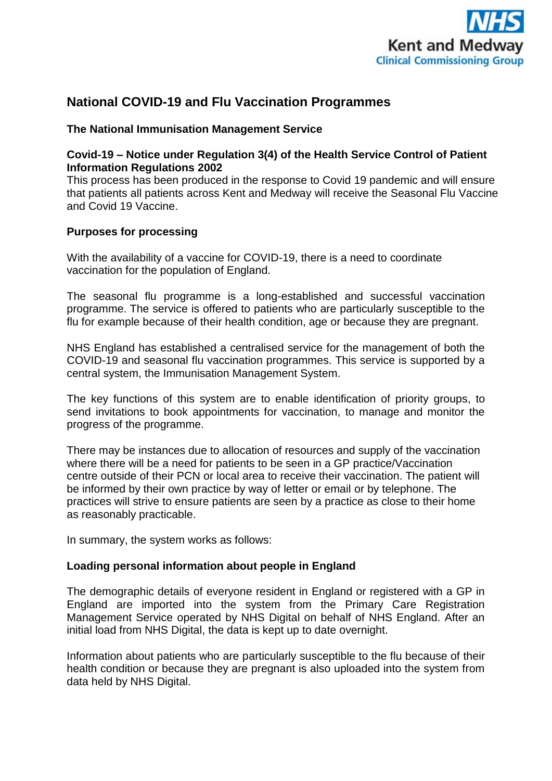

# **National COVID-19 and Flu Vaccination Programmes**

# **The National Immunisation Management Service**

# **Covid-19 – Notice under Regulation 3(4) of the Health Service Control of Patient Information Regulations 2002**

This process has been produced in the response to Covid 19 pandemic and will ensure that patients all patients across Kent and Medway will receive the Seasonal Flu Vaccine and Covid 19 Vaccine.

# **Purposes for processing**

With the availability of a vaccine for COVID-19, there is a need to coordinate vaccination for the population of England.

The seasonal flu programme is a long-established and successful vaccination programme. The service is offered to patients who are particularly susceptible to the flu for example because of their health condition, age or because they are pregnant.

NHS England has established a centralised service for the management of both the COVID-19 and seasonal flu vaccination programmes. This service is supported by a central system, the Immunisation Management System.

The key functions of this system are to enable identification of priority groups, to send invitations to book appointments for vaccination, to manage and monitor the progress of the programme.

There may be instances due to allocation of resources and supply of the vaccination where there will be a need for patients to be seen in a GP practice/Vaccination centre outside of their PCN or local area to receive their vaccination. The patient will be informed by their own practice by way of letter or email or by telephone. The practices will strive to ensure patients are seen by a practice as close to their home as reasonably practicable.

In summary, the system works as follows:

## **Loading personal information about people in England**

The demographic details of everyone resident in England or registered with a GP in England are imported into the system from the Primary Care Registration Management Service operated by NHS Digital on behalf of NHS England. After an initial load from NHS Digital, the data is kept up to date overnight.

Information about patients who are particularly susceptible to the flu because of their health condition or because they are pregnant is also uploaded into the system from data held by NHS Digital.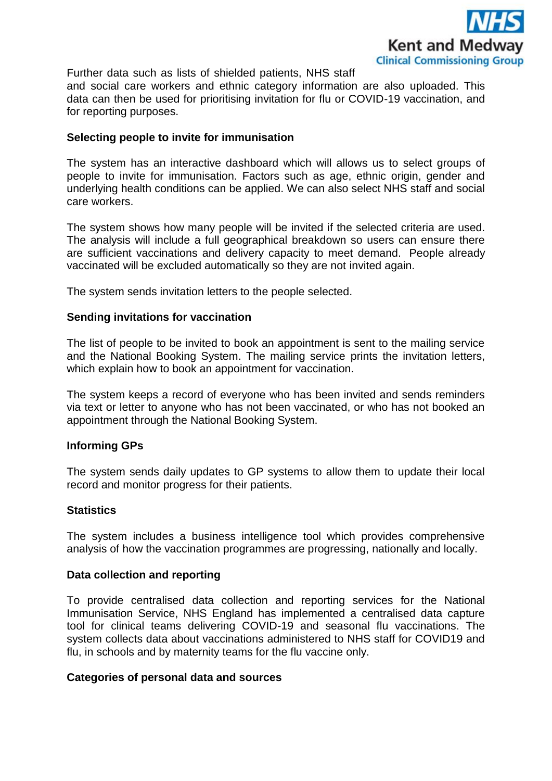

Further data such as lists of shielded patients, NHS staff and social care workers and ethnic category information are also uploaded. This data can then be used for prioritising invitation for flu or COVID-19 vaccination, and for reporting purposes.

## **Selecting people to invite for immunisation**

The system has an interactive dashboard which will allows us to select groups of people to invite for immunisation. Factors such as age, ethnic origin, gender and underlying health conditions can be applied. We can also select NHS staff and social care workers.

The system shows how many people will be invited if the selected criteria are used. The analysis will include a full geographical breakdown so users can ensure there are sufficient vaccinations and delivery capacity to meet demand. People already vaccinated will be excluded automatically so they are not invited again.

The system sends invitation letters to the people selected.

### **Sending invitations for vaccination**

The list of people to be invited to book an appointment is sent to the mailing service and the National Booking System. The mailing service prints the invitation letters, which explain how to book an appointment for vaccination.

The system keeps a record of everyone who has been invited and sends reminders via text or letter to anyone who has not been vaccinated, or who has not booked an appointment through the National Booking System.

#### **Informing GPs**

The system sends daily updates to GP systems to allow them to update their local record and monitor progress for their patients.

#### **Statistics**

The system includes a business intelligence tool which provides comprehensive analysis of how the vaccination programmes are progressing, nationally and locally.

#### **Data collection and reporting**

To provide centralised data collection and reporting services for the National Immunisation Service, NHS England has implemented a centralised data capture tool for clinical teams delivering COVID-19 and seasonal flu vaccinations. The system collects data about vaccinations administered to NHS staff for COVID19 and flu, in schools and by maternity teams for the flu vaccine only.

#### **Categories of personal data and sources**